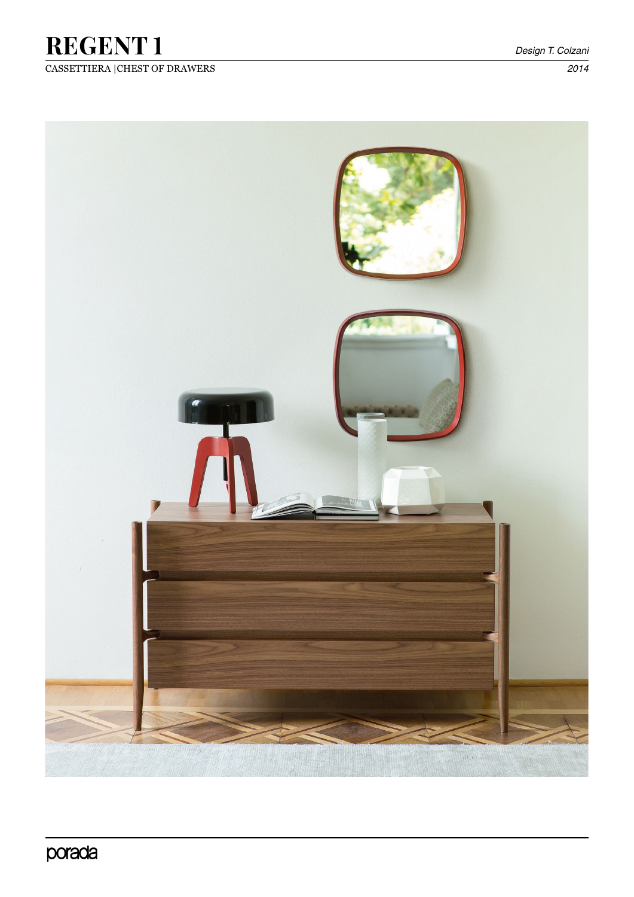# **REGENT 1** *Design T. Colzani*

## CASSETTIERA |CHEST OF DRAWERS *2014*

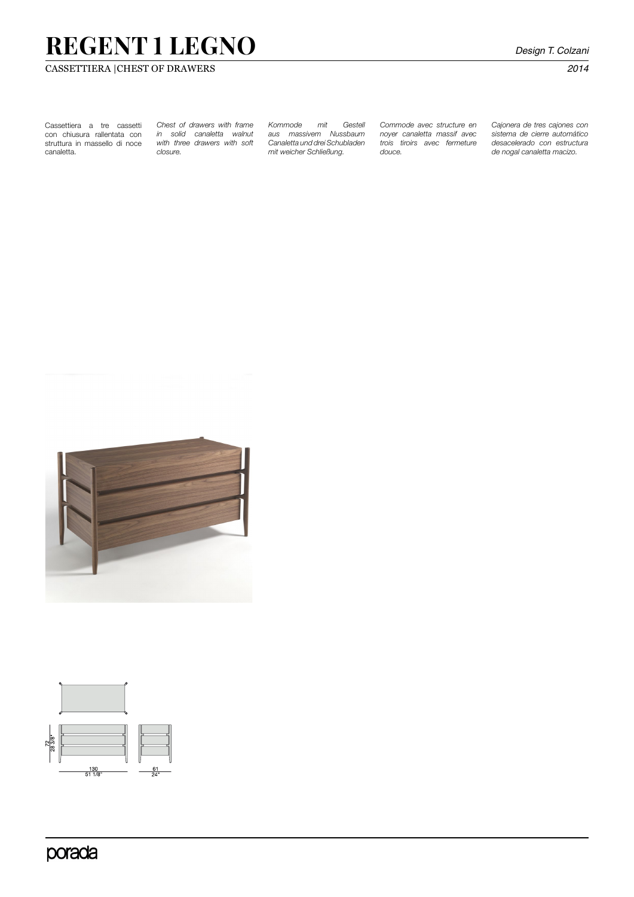# **REGENT 1 LEGNO**

### CASSETTIERA |CHEST OF DRAWERS *2014*

Cassettiera a tre cassetti con chiusura rallentata con struttura in massello di noce canaletta.

*Chest of drawers with frame in solid canaletta walnut with three drawers with soft closure.* 

*Kommode mit Gestell aus massivem Nussbaum Canaletta und drei Schubladen mit weicher Schließung.*

*Commode avec structure en noyer canaletta massif avec trois tiroirs avec fermeture douce.*

*Cajonera de tres cajones con sistema de cierre automático desacelerado con estructura de nogal canaletta macizo.*





porada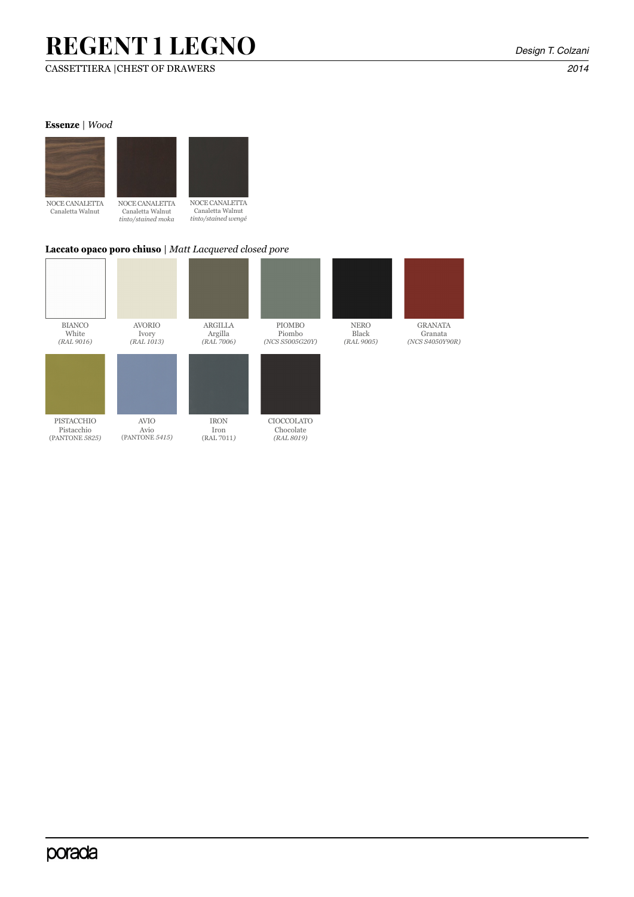# **REGENT 1 LEGNO**

### CASSETTIERA |CHEST OF DRAWERS *2014*

#### **Essenze** | *Wood*

PISTACCHIO Pistacchio (PANTONE *5825)*



AVIO Avio (PANTONE *5415)*

#### AVORIO Ivory *(RAL 1013)* NERO Black *(RAL 9005)* ARGILLA Argilla *(RAL 7006)* GRANATA Granata *(NCS S4050Y90R)* BIANCO White *(RAL 9016)* PIOMBO Piombo *(NCS S5005G20Y)* **Laccato opaco poro chiuso** | *Matt Lacquered closed pore*

IRON Iron (RAL 7011*)* CIOCCOLATO Chocolate *(RAL 8019)*

# porada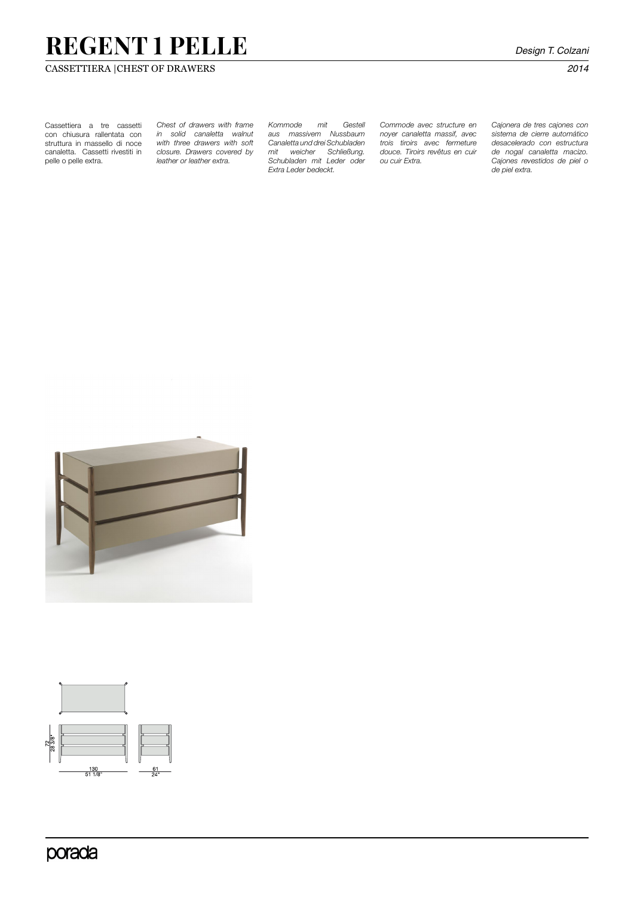# **REGENT 1 PELLE**

## CASSETTIERA |CHEST OF DRAWERS *2014*

Cassettiera a tre cassetti con chiusura rallentata con struttura in massello di noce canaletta. Cassetti rivestiti in pelle o pelle extra.

*Chest of drawers with frame in solid canaletta walnut with three drawers with soft closure. Drawers covered by leather or leather extra.*

*Kommode mit Gestell aus massivem Nussbaum Canaletta und drei Schubladen mit weicher Schließung. Schubladen mit Leder oder Extra Leder bedeckt.* 

*Commode avec structure en noyer canaletta massif, avec trois tiroirs avec fermeture douce. Tiroirs revêtus en cuir ou cuir Extra.*

*Cajonera de tres cajones con sistema de cierre automático desacelerado con estructura de nogal canaletta macizo. Cajones revestidos de piel o de piel extra.*